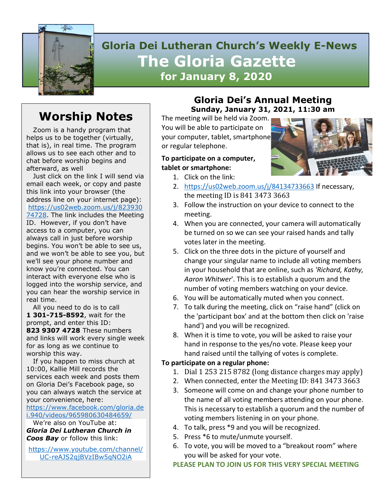

# **Gloria Dei Lutheran Church's Weekly E-News The Gloria Gazette for January 8, 2020**

# **Worship Notes**

 Zoom is a handy program that helps us to be together (virtually, that is), in real time. The program allows us to see each other and to chat before worship begins and afterward, as well

 Just click on the link I will send via email each week, or copy and paste this link into your browser (the address line on your internet page): [https://us02web.zoom.us/j/823930](https://us02web.zoom.us/j/82393074728) [74728.](https://us02web.zoom.us/j/82393074728) The link includes the Meeting ID. However, if you don't have access to a computer, you can always call in just before worship begins. You won't be able to see us, and we won't be able to see you, but we'll see your phone number and know you're connected. You can interact with everyone else who is logged into the worship service, and you can hear the worship service in real time.

 All you need to do is to call **1 301-715-8592**, wait for the prompt, and enter this ID: **823 9307 4728** These numbers and links will work every single week for as long as we continue to worship this way.

 If you happen to miss church at 10:00, Kallie Mill records the services each week and posts them on Gloria Dei's Facebook page, so you can always watch the service at your convenience, here:

[https://www.facebook.com/gloria.de](https://www.facebook.com/gloria.dei.940/videos/965980630484659/) [i.940/videos/965980630484659/](https://www.facebook.com/gloria.dei.940/videos/965980630484659/)

 We're also on YouTube at: *Gloria Dei Lutheran Church in Coos Bay* or follow this link:

[https://www.youtube.com/channel/](https://www.youtube.com/channel/UC-reAJS2qjBVzIBw5qNO2iA) [UC-reAJS2qjBVzIBw5qNO2iA](https://www.youtube.com/channel/UC-reAJS2qjBVzIBw5qNO2iA)

## **Gloria Dei's Annual Meeting Sunday, January 31, 2021, 11:30 am**

The meeting will be held via Zoom. You will be able to participate on your computer, tablet, smartphone or regular telephone.

### **To participate on a computer, tablet or smartphone:**

1. Click on the link:



- 2. <https://us02web.zoom.us/j/84134733663> If necessary, the meeting ID is 841 3473 3663
- 3. Follow the instruction on your device to connect to the meeting.
- 4. When you are connected, your camera will automatically be turned on so we can see your raised hands and tally votes later in the meeting.
- 5. Click on the three dots in the picture of yourself and change your singular name to include all voting members in your household that are online, such as *'Richard, Kathy, Aaron Whitwer*'. This is to establish a quorum and the number of voting members watching on your device.
- 6. You will be automatically muted when you connect.
- 7. To talk during the meeting, click on "raise hand" (click on the 'participant box' and at the bottom then click on 'raise hand') and you will be recognized.
- 8. When it is time to vote, you will be asked to raise your hand in response to the yes/no vote. Please keep your hand raised until the tallying of votes is complete.

### **To participate on a regular phone:**

- 1. Dial 1 253 215 8782 (long distance charges may apply)
- 2. When connected, enter the Meeting ID: 841 3473 3663
- 3. Someone will come on and change your phone number to the name of all voting members attending on your phone. This is necessary to establish a quorum and the number of voting members listening in on your phone.
- 4. To talk, press \*9 and you will be recognized.
- 5. Press \*6 to mute/unmute yourself.
- 6. To vote, you will be moved to a "breakout room" where you will be asked for your vote.

**PLEASE PLAN TO JOIN US FOR THIS VERY SPECIAL MEETING**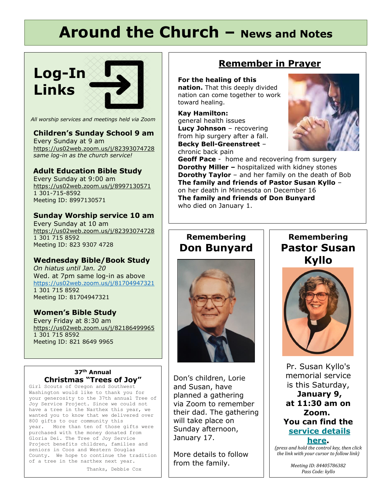# **Around the Church – News and Notes**

# **Log-In Links**



#### *All worship services and meetings held via Zoom*

### **Children's Sunday School 9 am**

Every Sunday at 9 am <https://us02web.zoom.us/j/82393074728> *same log-in as the church service!*

### **Adult Education Bible Study**

Every Sunday at 9:00 am <https://us02web.zoom.us/j/8997130571> 1 301-715-8592 Meeting ID: 8997130571

#### **Sunday Worship service 10 am**

Every Sunday at 10 am <https://us02web.zoom.us/j/82393074728> 1 301 715 8592 Meeting ID: 823 9307 4728

#### **Wednesday Bible/Book Study**

*On hiatus until Jan. 20* Wed. at 7pm same log-in as above <https://us02web.zoom.us/j/81704947321> 1 301 715 8592 Meeting ID: 81704947321

#### **Women's Bible Study**

Every Friday at 8:30 am <https://us02web.zoom.us/j/82186499965> 1 301 715 8592 Meeting ID: 821 8649 9965

#### **37th Annual Christmas "Trees of Joy"**

Girl Scouts of Oregon and Southwest Washington would like to thank you for your generosity to the 37th annual Tree of Joy Service Project. Since we could not have a tree in the Narthex this year, we wanted you to know that we delivered over 800 gifts to our community this year. More than ten of those gifts were purchased with the money donated from Gloria Dei. The Tree of Joy Service Project benefits children, families and seniors in Coos and Western Douglas County. We hope to continue the tradition of a tree in the narthex next year.

Thanks, Debbie Cox

## **Remember in Prayer**

#### **For the healing of this**

**nation.** That this deeply divided nation can come together to work toward healing.

**Kay Hamilton:** general health issues **Lucy Johnson** – recovering from hip surgery after a fall. **Becky Bell-Greenstreet** –





**Geoff Pace** - home and recovering from surgery **Dorothy Miller –** hospitalized with kidney stones **Dorothy Taylor** – and her family on the death of Bob **The family and friends of Pastor Susan Kyllo** – on her death in Minnesota on December 16 **The family and friends of Don Bunyard** who died on January 1.

## **Remembering Don Bunyard**

 $\overline{a}$ 



Don's children, Lorie and Susan, have planned a gathering via Zoom to remember their dad. The gathering will take place on Sunday afternoon, January 17.

More details to follow from the family.

## **Remembering Pastor Susan Kyllo**



Pr. Susan Kyllo's memorial service is this Saturday,

**January 9, at 11:30 am on Zoom. You can find the [service](https://oregonsynod.us8.list-manage.com/track/click?u=ae3a96d1d43bb3c973f63ae2d&id=4825a859c9&e=43aba503b3) details [here.](https://oregonsynod.us8.list-manage.com/track/click?u=ae3a96d1d43bb3c973f63ae2d&id=4825a859c9&e=43aba503b3)**

*(press and hold the control key, then click the link with your cursor to follow link)*

> *Meeting ID: 84405786382 Pass Code: kyllo*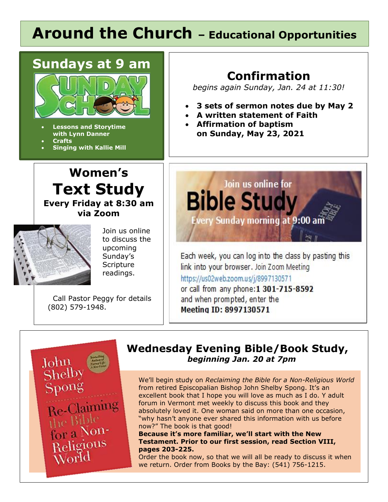# Around the Church - Educational Opportunities



• **Lessons and Storytime with Lynn Danner**

- **Crafts**
- **Singing with Kallie Mill**

# **Confirmation**

*begins again Sunday, Jan. 24 at 11:30!*

- **3 sets of sermon notes due by May 2**
- **A written statement of Faith**
- **Affirmation of baptism on Sunday, May 23, 2021**





Join us online to discuss the upcoming Sunday's **Scripture** readings.

 Call Pastor Peggy for details (802) 579-1948.



Meeting ID: 8997130571



## **Wednesday Evening Bible/Book Study,**   *beginning Jan. 20 at 7pm*

We'll begin study on *Reclaiming the Bible for a Non-Religious World* from retired Episcopalian Bishop John Shelby Spong. It's an excellent book that I hope you will love as much as I do. Y adult forum in Vermont met weekly to discuss this book and they absolutely loved it. One woman said on more than one occasion, "why hasn't anyone ever shared this information with us before now?" The book is that good!

**Because it's more familiar, we'll start with the New Testament. Prior to our first session, read Section VIII, pages 203-225.** 

Order the book now, so that we will all be ready to discuss it when we return. Order from Books by the Bay: (541) 756-1215.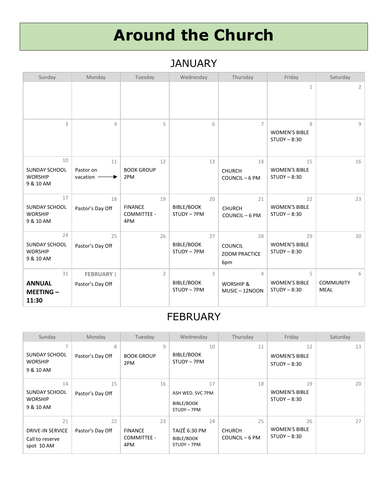# **Around the Church**

# JANUARY

| Sunday                                                    | Monday                                | Tuesday                                    | Wednesday                              | Thursday                                               | Friday                                       | Saturday                             |
|-----------------------------------------------------------|---------------------------------------|--------------------------------------------|----------------------------------------|--------------------------------------------------------|----------------------------------------------|--------------------------------------|
|                                                           |                                       |                                            |                                        |                                                        | 1                                            | 2                                    |
| 3                                                         | $\overline{4}$                        | 5                                          | 6                                      | $\overline{7}$                                         | 8<br><b>WOMEN'S BIBLE</b><br>$STUDY - 8:30$  | 9                                    |
| 10<br><b>SUNDAY SCHOOL</b><br><b>WORSHIP</b><br>9 & 10 AM | 11<br>Pastor on<br>vacation           | 12<br><b>BOOK GROUP</b><br>2PM             | 13                                     | 14<br><b>CHURCH</b><br>COUNCIL-6 PM                    | 15<br><b>WOMEN'S BIBLE</b><br>$STUDY - 8:30$ | 16                                   |
| 17<br><b>SUNDAY SCHOOL</b><br><b>WORSHIP</b><br>9 & 10 AM | 18<br>Pastor's Day Off                | 19<br><b>FINANCE</b><br>COMMITTEE -<br>4PM | 20<br><b>BIBLE/BOOK</b><br>STUDY - 7PM | 21<br><b>CHURCH</b><br>COUNCIL-6 PM                    | 22<br><b>WOMEN'S BIBLE</b><br>$STUDY - 8:30$ | 23                                   |
| 24<br><b>SUNDAY SCHOOL</b><br><b>WORSHIP</b><br>9 & 10 AM | 25<br>Pastor's Day Off                | 26                                         | 27<br><b>BIBLE/BOOK</b><br>STUDY - 7PM | 28<br><b>COUNCIL</b><br><b>ZOOM PRACTICE</b><br>6pm    | 29<br><b>WOMEN'S BIBLE</b><br>$STUDY - 8:30$ | 30                                   |
| 31<br><b>ANNUAL</b><br><b>MEETING-</b><br>11:30           | <b>FEBRUARY 1</b><br>Pastor's Day Off | $\overline{2}$                             | 3<br><b>BIBLE/BOOK</b><br>STUDY - 7PM  | $\overline{4}$<br><b>WORSHIP &amp;</b><br>MUSIC-12NOON | 5<br><b>WOMEN'S BIBLE</b><br>$STUDY - 8:30$  | 6<br><b>COMMUNITY</b><br><b>MEAL</b> |

# FEBRUARY

| Sunday                                                         | Monday                 | Tuesday                                    | Wednesday                                               | Thursday                              | Friday                                       | Saturday |
|----------------------------------------------------------------|------------------------|--------------------------------------------|---------------------------------------------------------|---------------------------------------|----------------------------------------------|----------|
| SUNDAY SCHOOL<br><b>WORSHIP</b><br>9 & 10 AM                   | 8<br>Pastor's Day Off  | 9<br><b>BOOK GROUP</b><br>2PM              | 10<br><b>BIBLE/BOOK</b><br>STUDY - 7PM                  | 11                                    | 12<br><b>WOMEN'S BIBLE</b><br>$STUDY - 8:30$ | 13       |
| 14<br><b>SUNDAY SCHOOL</b><br><b>WORSHIP</b><br>9 & 10 AM      | 15<br>Pastor's Day Off | 16                                         | 17<br>ASH WED. SVC 7PM<br>BIBLE/BOOK<br>STUDY - 7PM     | 18                                    | 19<br><b>WOMEN'S BIBLE</b><br>$STUDY - 8:30$ | 20       |
| 21<br><b>DRIVE-IN SERVICE</b><br>Call to reserve<br>spot 10 AM | 22<br>Pastor's Day Off | 23<br><b>FINANCE</b><br>COMMITTEE -<br>4PM | 24<br>TAIZĚ 6:30 PM<br><b>BIBLE/BOOK</b><br>STUDY - 7PM | 25<br><b>CHURCH</b><br>COUNCIL - 6 PM | 26<br><b>WOMEN'S BIBLE</b><br>$STUDY - 8:30$ | 27       |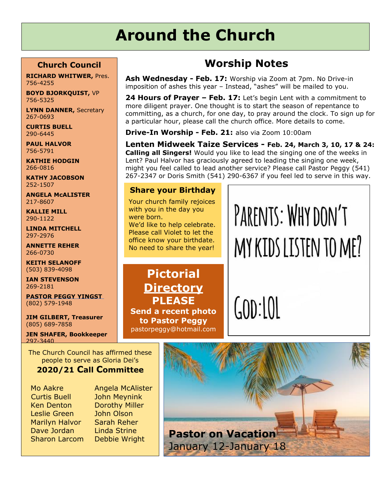# **Around the Church**

### **Church Council**

**RICHARD WHITWER,** Pres. 756-4255

**BOYD BJORKQUIST,** VP 756-5325

**LYNN DANNER,** Secretary 267-0693

**CURTIS BUELL** 290-6445

**PAUL HALVOR** 756-5791

**KATHIE HODGIN** 266-0816

**KATHY JACOBSON** 252-1507

**ANGELA McALISTER** 217-8607

**KALLIE MILL** 290-1122

**LINDA MITCHELL** 297-2976

**ANNETTE REHER** 266-0730

**KEITH SELANOFF** (503) 839-4098

**IAN STEVENSON** 269-2181

**PASTOR PEGGY YINGST** (802) 579-1948

**JIM GILBERT, Treasurer** (805) 689-7858

**JEN SHAFER, Bookkeeper** 297-3440

The Church Council has affirmed these people to serve as Gloria Dei's

## **2020/21 Call Committee**

 Curtis Buell John Meynink Ken Denton Dorothy Miller Leslie Green John Olson Marilyn Halvor Sarah Reher Dave Jordan Linda Strine

Mo Aakre Angela McAlister

# **Worship Notes**

**Ash Wednesday - Feb. 17:** Worship via Zoom at 7pm. No Drive-in imposition of ashes this year – Instead, "ashes" will be mailed to you.

**24 Hours of Prayer – Feb. 17:** Let's begin Lent with a commitment to more diligent prayer. One thought is to start the season of repentance to committing, as a church, for one day, to pray around the clock. To sign up for a particular hour, please call the church office. More details to come.

**Drive-In Worship - Feb. 21:** also via Zoom 10:00am

**Lenten Midweek Taize Services - Feb. 24, March 3, 10, 17 & 24: Calling all Singers!** Would you like to lead the singing one of the weeks in Lent? Paul Halvor has graciously agreed to leading the singing one week, might you feel called to lead another service? Please call Pastor Peggy (541) 267-2347 or Doris Smith (541) 290-6367 if you feel led to serve in this way.

## **Share your Birthday**

Your church family rejoices with you in the day you were born. We'd like to help celebrate.

Please call Violet to let the office know your birthdate. No need to share the year!

**Pictorial Directory PLEASE Send a recent photo to Pastor Peggy** pastorpeggy@hotmail.com PARENTS: WHY DON'T MY KIDS LISTEN TO ME?

 $GOD:101$ 

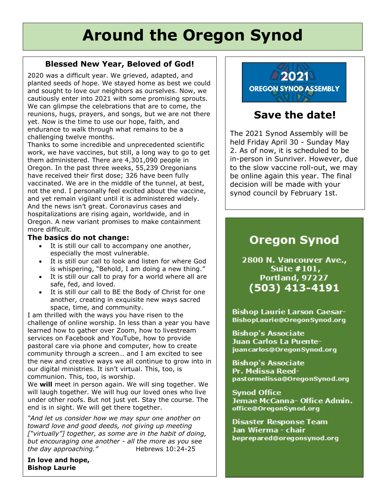# **Around the Oregon Synod**

### **Blessed New Year, Beloved of God!**

2020 was a difficult year. We grieved, adapted, and planted seeds of hope. We stayed home as best we could and sought to love our neighbors as ourselves. Now, we cautiously enter into 2021 with some promising sprouts. We can glimpse the celebrations that are to come, the reunions, hugs, prayers, and songs, but we are not there yet. Now is the time to use our hope, faith, and endurance to walk through what remains to be a challenging twelve months.

Thanks to some incredible and unprecedented scientific work, we have vaccines, but still, a long way to go to get them administered. There are 4,301,090 people in Oregon. In the past three weeks, 55,239 Oregonians have received their first dose; 326 have been fully vaccinated. We are in the middle of the tunnel, at best, not the end. I personally feel excited about the vaccine, and yet remain vigilant until it is administered widely. And the news isn't great. Coronavirus cases and hospitalizations are rising again, worldwide, and in Oregon. A new variant promises to make containment more difficult.

#### **The basics do not change:**

- It is still our call to accompany one another, especially the most vulnerable.
- It is still our call to look and listen for where God is whispering, "Behold, I am doing a new thing."
- It is still our call to pray for a world where all are safe, fed, and loved.
- It is still our call to BE the Body of Christ for one another, creating in exquisite new ways sacred space, time, and community.

I am thrilled with the ways you have risen to the challenge of online worship. In less than a year you have learned how to gather over Zoom, how to livestream services on Facebook and YouTube, how to provide pastoral care via phone and computer, how to create community through a screen… and I am excited to see the new and creative ways we all continue to grow into in our digital ministries. It isn't virtual. This, too, is communion. This, too, is worship.

We **will** meet in person again. We will sing together. We will laugh together. We will hug our loved ones who live under other roofs. But not just yet. Stay the course. The end is in sight. We will get there together.

*"And let us consider how we may spur one another on toward love and good deeds, not giving up meeting ["virtually"] together, as some are in the habit of doing, but encouraging one another - all the more as you see the day approaching."* 
Hebrews 10:24-25

**In love and hope, Bishop Laurie**



# **Save the date!**

The 2021 Synod Assembly will be held Friday April 30 - Sunday May 2. As of now, it is scheduled to be in-person in Sunriver. However, due to the slow vaccine roll-out, we may be online again this year. The final decision will be made with your synod council by February 1st.

# **Oregon Synod**

2800 N. Vancouver Ave., Suite #101, **Portland, 97227**  $(503)$  413-4191

**Bishop Laurie Larson Caesar-**BishopLaurie@OregonSynod.org

**Bishop's Associate** Juan Carlos La Puentejuancarlos@OregonSynod.org

**Bishop's Associate** Pr. Melissa Reedpastormelissa@OregonSynod.org

**Synod Office** Jemae McCanna- Office Admin. office@OregonSynod.org

**Disaster Response Team** Jan Wierma - chair beprepared@oregonsynod.org